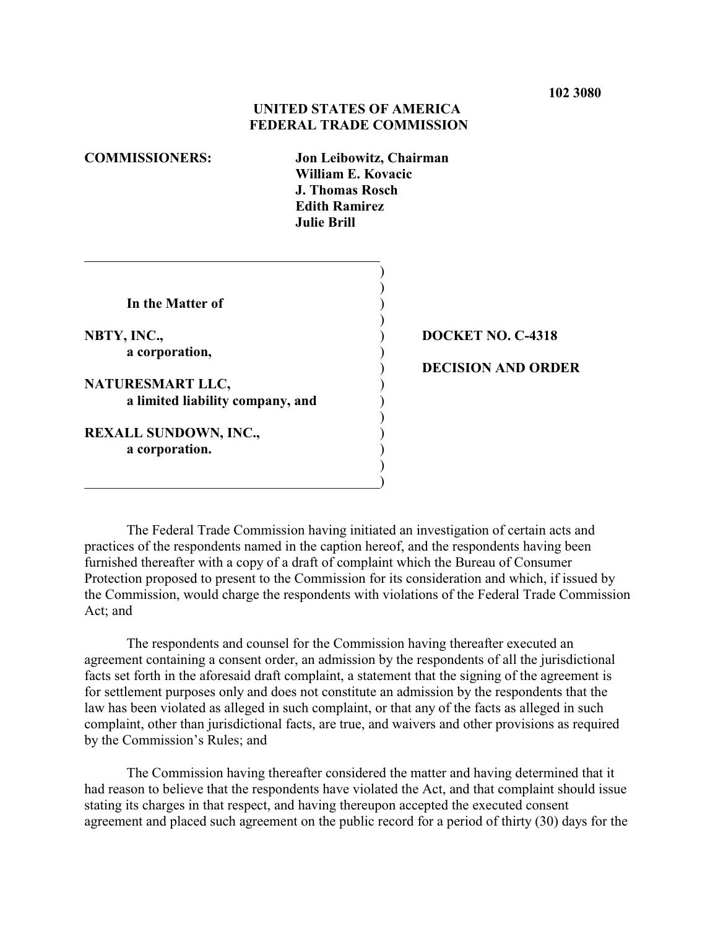# **UNITED STATES OF AMERICA FEDERAL TRADE COMMISSION**

| <b>COMMISSIONERS:</b> |  |
|-----------------------|--|
|-----------------------|--|

**COMMISSIONERS: Jon Leibowitz, Chairman William E. Kovacic J. Thomas Rosch Edith Ramirez Julie Brill**

> ) )

> )

)

)

**In the Matter of** )

**a corporation,** (a)

 $\overline{a}$ 

**NATURESMART LLC,** ) **a limited liability company, and** 

 $\hspace{.5cm}$   $\hspace{.5cm}$   $\hspace{.5cm}$   $\hspace{.5cm}$   $\hspace{.5cm}$   $\hspace{.5cm}$   $\hspace{.5cm}$   $\hspace{.5cm}$   $\hspace{.5cm}$   $\hspace{.5cm}$   $\hspace{.5cm}$   $\hspace{.5cm}$   $\hspace{.5cm}$   $\hspace{.5cm}$   $\hspace{.5cm}$   $\hspace{.5cm}$   $\hspace{.5cm}$   $\hspace{.5cm}$   $\hspace{.5cm}$   $\hspace{.5cm}$ 

**REXALL SUNDOWN, INC.,** ) **a corporation.** )

# **NBTY, INC.,** ) **DOCKET NO. C-4318**

## ) **DECISION AND ORDER**

The Federal Trade Commission having initiated an investigation of certain acts and practices of the respondents named in the caption hereof, and the respondents having been furnished thereafter with a copy of a draft of complaint which the Bureau of Consumer Protection proposed to present to the Commission for its consideration and which, if issued by the Commission, would charge the respondents with violations of the Federal Trade Commission Act; and

The respondents and counsel for the Commission having thereafter executed an agreement containing a consent order, an admission by the respondents of all the jurisdictional facts set forth in the aforesaid draft complaint, a statement that the signing of the agreement is for settlement purposes only and does not constitute an admission by the respondents that the law has been violated as alleged in such complaint, or that any of the facts as alleged in such complaint, other than jurisdictional facts, are true, and waivers and other provisions as required by the Commission's Rules; and

The Commission having thereafter considered the matter and having determined that it had reason to believe that the respondents have violated the Act, and that complaint should issue stating its charges in that respect, and having thereupon accepted the executed consent agreement and placed such agreement on the public record for a period of thirty (30) days for the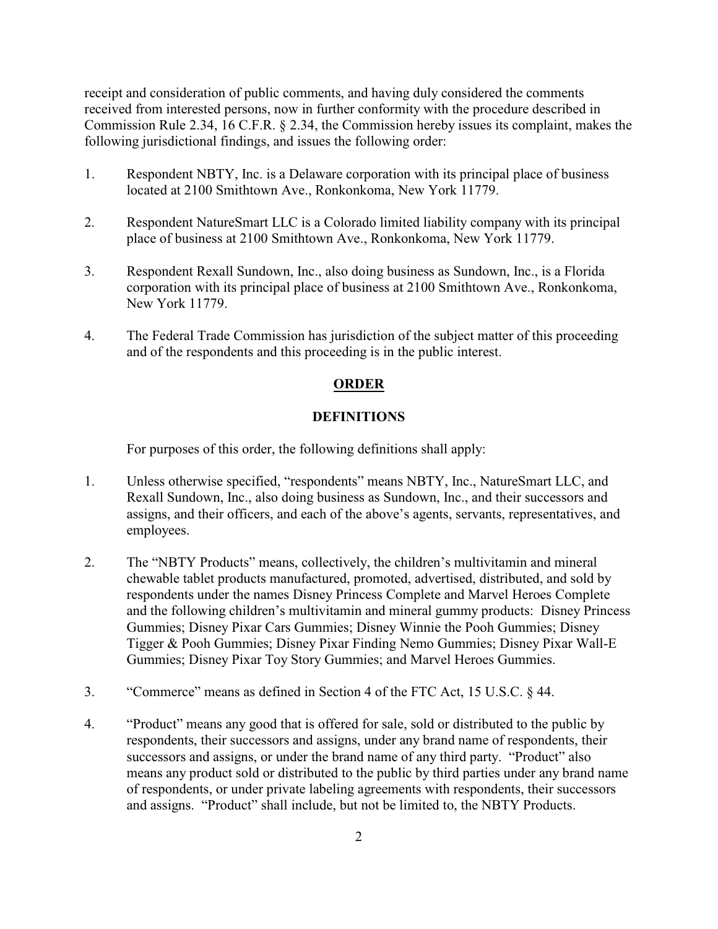receipt and consideration of public comments, and having duly considered the comments received from interested persons, now in further conformity with the procedure described in Commission Rule 2.34, 16 C.F.R. § 2.34, the Commission hereby issues its complaint, makes the following jurisdictional findings, and issues the following order:

- 1. Respondent NBTY, Inc. is a Delaware corporation with its principal place of business located at 2100 Smithtown Ave., Ronkonkoma, New York 11779.
- 2. Respondent NatureSmart LLC is a Colorado limited liability company with its principal place of business at 2100 Smithtown Ave., Ronkonkoma, New York 11779.
- 3. Respondent Rexall Sundown, Inc., also doing business as Sundown, Inc., is a Florida corporation with its principal place of business at 2100 Smithtown Ave., Ronkonkoma, New York 11779.
- 4. The Federal Trade Commission has jurisdiction of the subject matter of this proceeding and of the respondents and this proceeding is in the public interest.

# **ORDER**

# **DEFINITIONS**

For purposes of this order, the following definitions shall apply:

- 1. Unless otherwise specified, "respondents" means NBTY, Inc., NatureSmart LLC, and Rexall Sundown, Inc., also doing business as Sundown, Inc., and their successors and assigns, and their officers, and each of the above's agents, servants, representatives, and employees.
- 2. The "NBTY Products" means, collectively, the children's multivitamin and mineral chewable tablet products manufactured, promoted, advertised, distributed, and sold by respondents under the names Disney Princess Complete and Marvel Heroes Complete and the following children's multivitamin and mineral gummy products: Disney Princess Gummies; Disney Pixar Cars Gummies; Disney Winnie the Pooh Gummies; Disney Tigger & Pooh Gummies; Disney Pixar Finding Nemo Gummies; Disney Pixar Wall-E Gummies; Disney Pixar Toy Story Gummies; and Marvel Heroes Gummies.
- 3. "Commerce" means as defined in Section 4 of the FTC Act, 15 U.S.C. § 44.
- 4. "Product" means any good that is offered for sale, sold or distributed to the public by respondents, their successors and assigns, under any brand name of respondents, their successors and assigns, or under the brand name of any third party. "Product" also means any product sold or distributed to the public by third parties under any brand name of respondents, or under private labeling agreements with respondents, their successors and assigns. "Product" shall include, but not be limited to, the NBTY Products.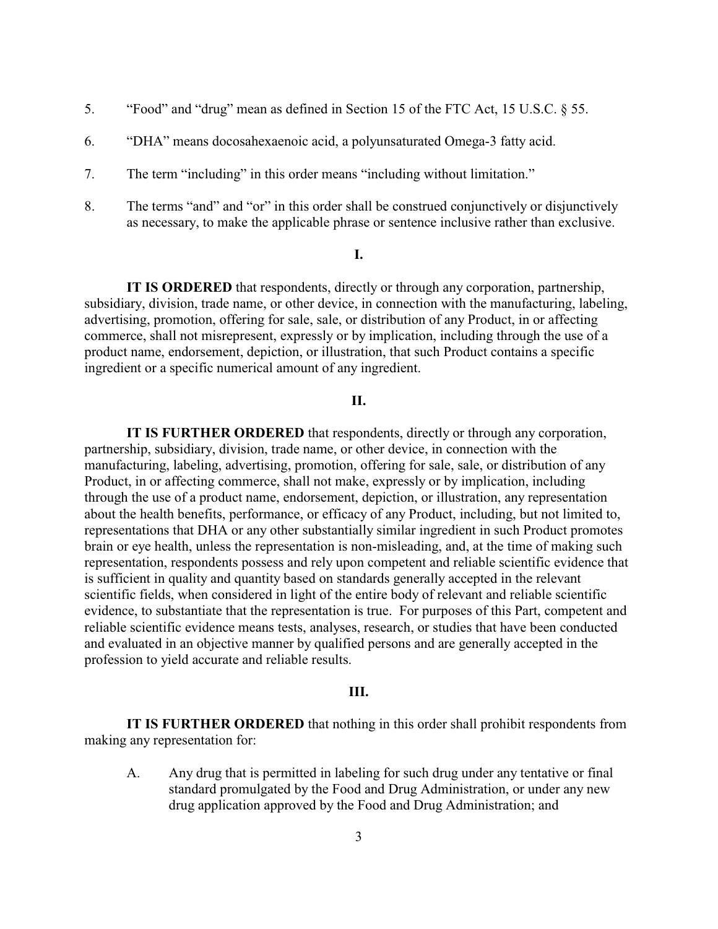- 5. "Food" and "drug" mean as defined in Section 15 of the FTC Act, 15 U.S.C. § 55.
- 6. "DHA" means docosahexaenoic acid, a polyunsaturated Omega-3 fatty acid.
- 7. The term "including" in this order means "including without limitation."
- 8. The terms "and" and "or" in this order shall be construed conjunctively or disjunctively as necessary, to make the applicable phrase or sentence inclusive rather than exclusive.

#### **I.**

**IT IS ORDERED** that respondents, directly or through any corporation, partnership, subsidiary, division, trade name, or other device, in connection with the manufacturing, labeling, advertising, promotion, offering for sale, sale, or distribution of any Product, in or affecting commerce, shall not misrepresent, expressly or by implication, including through the use of a product name, endorsement, depiction, or illustration, that such Product contains a specific ingredient or a specific numerical amount of any ingredient.

## **II.**

**IT IS FURTHER ORDERED** that respondents, directly or through any corporation, partnership, subsidiary, division, trade name, or other device, in connection with the manufacturing, labeling, advertising, promotion, offering for sale, sale, or distribution of any Product, in or affecting commerce, shall not make, expressly or by implication, including through the use of a product name, endorsement, depiction, or illustration, any representation about the health benefits, performance, or efficacy of any Product, including, but not limited to, representations that DHA or any other substantially similar ingredient in such Product promotes brain or eye health, unless the representation is non-misleading, and, at the time of making such representation, respondents possess and rely upon competent and reliable scientific evidence that is sufficient in quality and quantity based on standards generally accepted in the relevant scientific fields, when considered in light of the entire body of relevant and reliable scientific evidence, to substantiate that the representation is true. For purposes of this Part, competent and reliable scientific evidence means tests, analyses, research, or studies that have been conducted and evaluated in an objective manner by qualified persons and are generally accepted in the profession to yield accurate and reliable results.

### **III.**

**IT IS FURTHER ORDERED** that nothing in this order shall prohibit respondents from making any representation for:

A. Any drug that is permitted in labeling for such drug under any tentative or final standard promulgated by the Food and Drug Administration, or under any new drug application approved by the Food and Drug Administration; and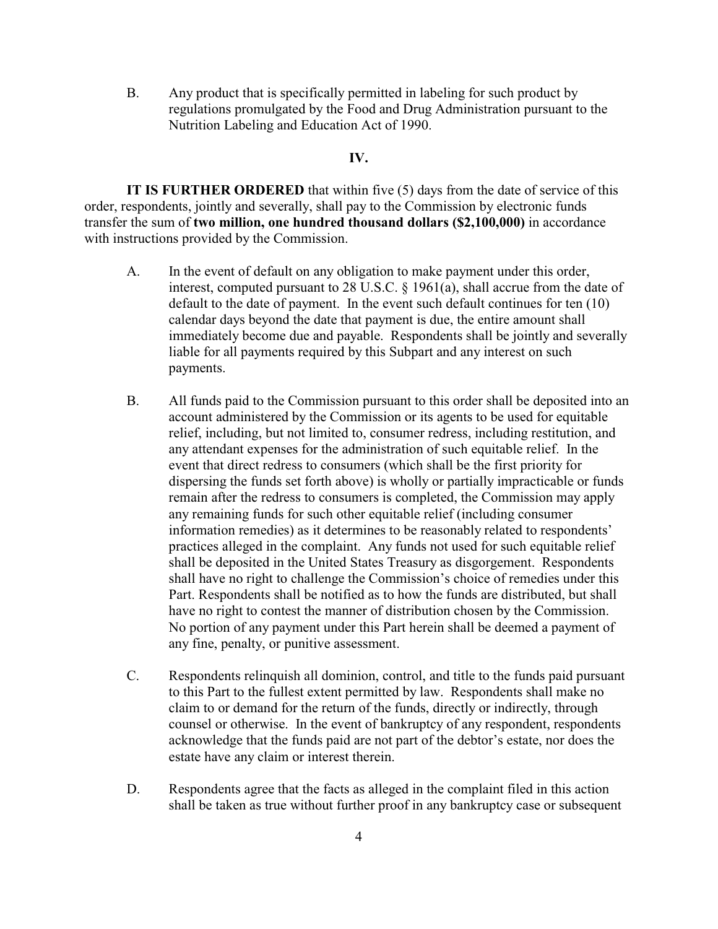B. Any product that is specifically permitted in labeling for such product by regulations promulgated by the Food and Drug Administration pursuant to the Nutrition Labeling and Education Act of 1990.

## **IV.**

**IT IS FURTHER ORDERED** that within five (5) days from the date of service of this order, respondents, jointly and severally, shall pay to the Commission by electronic funds transfer the sum of **two million, one hundred thousand dollars (\$2,100,000)** in accordance with instructions provided by the Commission.

- A. In the event of default on any obligation to make payment under this order, interest, computed pursuant to 28 U.S.C. § 1961(a), shall accrue from the date of default to the date of payment. In the event such default continues for ten (10) calendar days beyond the date that payment is due, the entire amount shall immediately become due and payable. Respondents shall be jointly and severally liable for all payments required by this Subpart and any interest on such payments.
- B. All funds paid to the Commission pursuant to this order shall be deposited into an account administered by the Commission or its agents to be used for equitable relief, including, but not limited to, consumer redress, including restitution, and any attendant expenses for the administration of such equitable relief. In the event that direct redress to consumers (which shall be the first priority for dispersing the funds set forth above) is wholly or partially impracticable or funds remain after the redress to consumers is completed, the Commission may apply any remaining funds for such other equitable relief (including consumer information remedies) as it determines to be reasonably related to respondents' practices alleged in the complaint. Any funds not used for such equitable relief shall be deposited in the United States Treasury as disgorgement. Respondents shall have no right to challenge the Commission's choice of remedies under this Part. Respondents shall be notified as to how the funds are distributed, but shall have no right to contest the manner of distribution chosen by the Commission. No portion of any payment under this Part herein shall be deemed a payment of any fine, penalty, or punitive assessment.
- C. Respondents relinquish all dominion, control, and title to the funds paid pursuant to this Part to the fullest extent permitted by law. Respondents shall make no claim to or demand for the return of the funds, directly or indirectly, through counsel or otherwise. In the event of bankruptcy of any respondent, respondents acknowledge that the funds paid are not part of the debtor's estate, nor does the estate have any claim or interest therein.
- D. Respondents agree that the facts as alleged in the complaint filed in this action shall be taken as true without further proof in any bankruptcy case or subsequent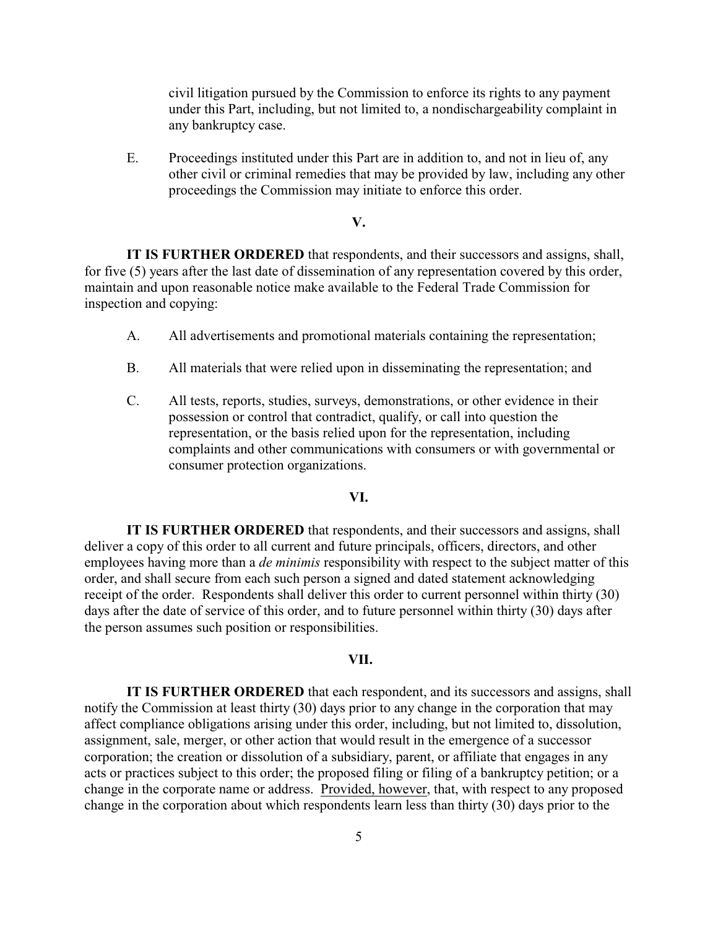civil litigation pursued by the Commission to enforce its rights to any payment under this Part, including, but not limited to, a nondischargeability complaint in any bankruptcy case.

E. Proceedings instituted under this Part are in addition to, and not in lieu of, any other civil or criminal remedies that may be provided by law, including any other proceedings the Commission may initiate to enforce this order.

#### **V.**

**IT IS FURTHER ORDERED** that respondents, and their successors and assigns, shall, for five (5) years after the last date of dissemination of any representation covered by this order, maintain and upon reasonable notice make available to the Federal Trade Commission for inspection and copying:

- A. All advertisements and promotional materials containing the representation;
- B. All materials that were relied upon in disseminating the representation; and
- C. All tests, reports, studies, surveys, demonstrations, or other evidence in their possession or control that contradict, qualify, or call into question the representation, or the basis relied upon for the representation, including complaints and other communications with consumers or with governmental or consumer protection organizations.

#### **VI.**

**IT IS FURTHER ORDERED** that respondents, and their successors and assigns, shall deliver a copy of this order to all current and future principals, officers, directors, and other employees having more than a *de minimis* responsibility with respect to the subject matter of this order, and shall secure from each such person a signed and dated statement acknowledging receipt of the order. Respondents shall deliver this order to current personnel within thirty (30) days after the date of service of this order, and to future personnel within thirty (30) days after the person assumes such position or responsibilities.

### **VII.**

**IT IS FURTHER ORDERED** that each respondent, and its successors and assigns, shall notify the Commission at least thirty (30) days prior to any change in the corporation that may affect compliance obligations arising under this order, including, but not limited to, dissolution, assignment, sale, merger, or other action that would result in the emergence of a successor corporation; the creation or dissolution of a subsidiary, parent, or affiliate that engages in any acts or practices subject to this order; the proposed filing or filing of a bankruptcy petition; or a change in the corporate name or address. Provided, however, that, with respect to any proposed change in the corporation about which respondents learn less than thirty (30) days prior to the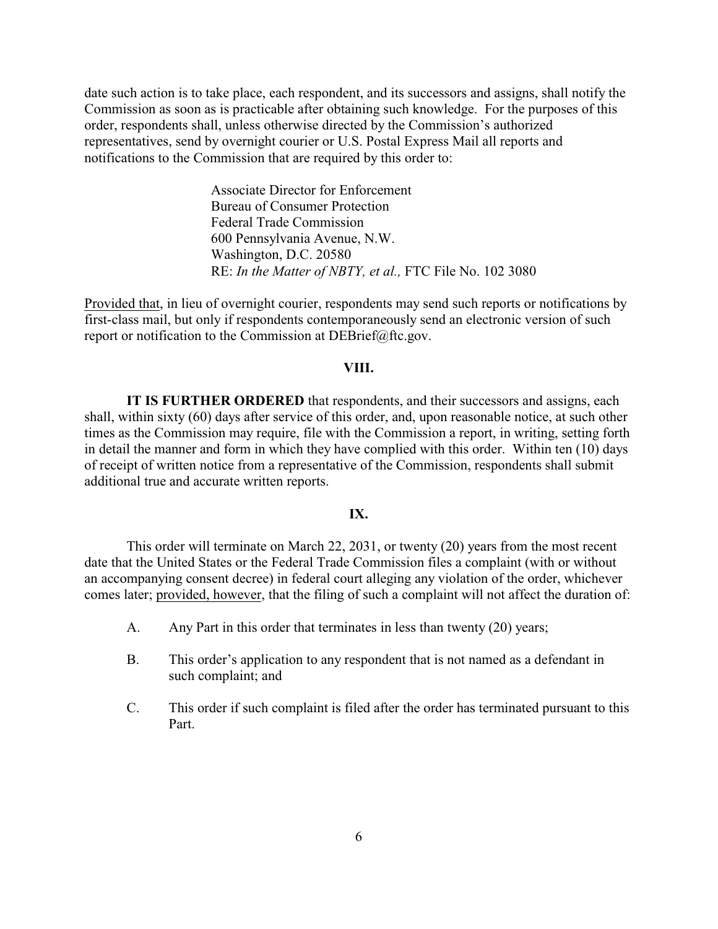date such action is to take place, each respondent, and its successors and assigns, shall notify the Commission as soon as is practicable after obtaining such knowledge. For the purposes of this order, respondents shall, unless otherwise directed by the Commission's authorized representatives, send by overnight courier or U.S. Postal Express Mail all reports and notifications to the Commission that are required by this order to:

> Associate Director for Enforcement Bureau of Consumer Protection Federal Trade Commission 600 Pennsylvania Avenue, N.W. Washington, D.C. 20580 RE: *In the Matter of NBTY, et al.,* FTC File No. 102 3080

Provided that, in lieu of overnight courier, respondents may send such reports or notifications by first-class mail, but only if respondents contemporaneously send an electronic version of such report or notification to the Commission at DEBrief@ftc.gov.

### **VIII.**

**IT IS FURTHER ORDERED** that respondents, and their successors and assigns, each shall, within sixty (60) days after service of this order, and, upon reasonable notice, at such other times as the Commission may require, file with the Commission a report, in writing, setting forth in detail the manner and form in which they have complied with this order. Within ten (10) days of receipt of written notice from a representative of the Commission, respondents shall submit additional true and accurate written reports.

#### **IX.**

This order will terminate on March 22, 2031, or twenty (20) years from the most recent date that the United States or the Federal Trade Commission files a complaint (with or without an accompanying consent decree) in federal court alleging any violation of the order, whichever comes later; provided, however, that the filing of such a complaint will not affect the duration of:

- A. Any Part in this order that terminates in less than twenty (20) years;
- B. This order's application to any respondent that is not named as a defendant in such complaint; and
- C. This order if such complaint is filed after the order has terminated pursuant to this Part.